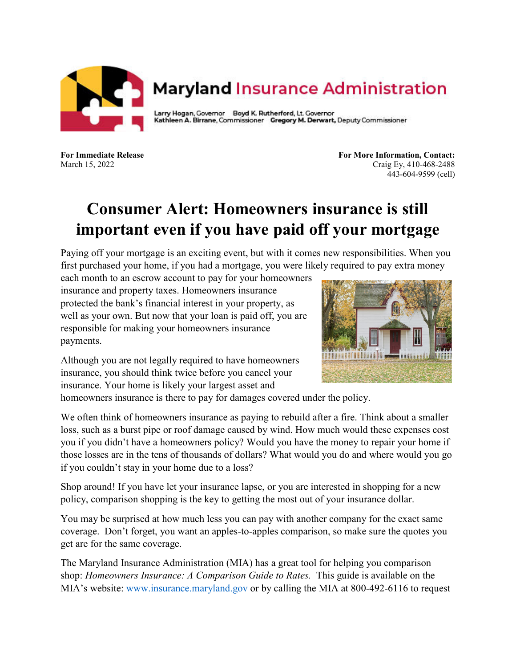

## **Maryland Insurance Administration**

Larry Hogan, Governor Boyd K. Rutherford, Lt. Governor Kathleen A. Birrane, Commissioner Gregory M. Derwart, Deputy Commissioner

**For Immediate Release For More Information, Contact:** March 15, 2022 Craig Ey, 410-468-2488 443-604-9599 (cell)

## **Consumer Alert: Homeowners insurance is still important even if you have paid off your mortgage**

Paying off your mortgage is an exciting event, but with it comes new responsibilities. When you first purchased your home, if you had a mortgage, you were likely required to pay extra money

each month to an escrow account to pay for your homeowners insurance and property taxes. Homeowners insurance protected the bank's financial interest in your property, as well as your own. But now that your loan is paid off, you are responsible for making your homeowners insurance payments.



Although you are not legally required to have homeowners insurance, you should think twice before you cancel your insurance. Your home is likely your largest asset and

homeowners insurance is there to pay for damages covered under the policy.

We often think of homeowners insurance as paying to rebuild after a fire. Think about a smaller loss, such as a burst pipe or roof damage caused by wind. How much would these expenses cost you if you didn't have a homeowners policy? Would you have the money to repair your home if those losses are in the tens of thousands of dollars? What would you do and where would you go if you couldn't stay in your home due to a loss?

Shop around! If you have let your insurance lapse, or you are interested in shopping for a new policy, comparison shopping is the key to getting the most out of your insurance dollar.

You may be surprised at how much less you can pay with another company for the exact same coverage. Don't forget, you want an apples-to-apples comparison, so make sure the quotes you get are for the same coverage.

The Maryland Insurance Administration (MIA) has a great tool for helping you comparison shop: *Homeowners Insurance: A Comparison Guide to Rates.* This guide is available on the MIA's website: [www.insurance.maryland.gov](http://www.insurance.maryland.gov/) or by calling the MIA at 800-492-6116 to request